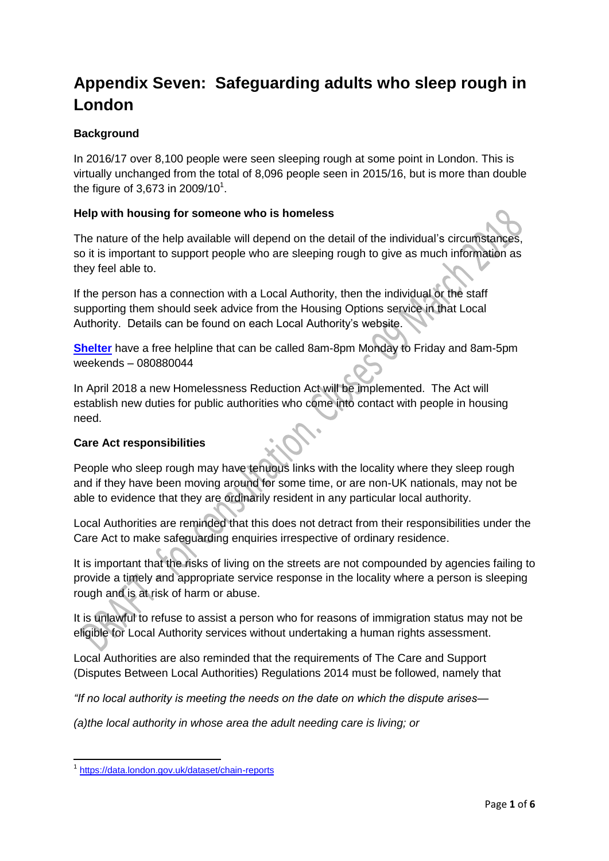# **Appendix Seven: Safeguarding adults who sleep rough in London**

# **Background**

In 2016/17 over 8,100 people were seen sleeping rough at some point in London. This is virtually unchanged from the total of 8,096 people seen in 2015/16, but is more than double the figure of 3,673 in 2009/10<sup>1</sup>.

## **Help with housing for someone who is homeless**

The nature of the help available will depend on the detail of the individual's circumstances, so it is important to support people who are sleeping rough to give as much information as they feel able to.

If the person has a connection with a Local Authority, then the individual or the staff supporting them should seek advice from the Housing Options service in that Local Authority. Details can be found on each Local Authority's website.

**[Shelter](https://england.shelter.org.uk/get_help)** have a free helpline that can be called 8am-8pm Monday to Friday and 8am-5pm weekends – 080880044

In April 2018 a new Homelessness Reduction Act will be implemented. The Act will establish new duties for public authorities who come into contact with people in housing need.

# **Care Act responsibilities**

People who sleep rough may have tenuous links with the locality where they sleep rough and if they have been moving around for some time, or are non-UK nationals, may not be able to evidence that they are ordinarily resident in any particular local authority.

Local Authorities are reminded that this does not detract from their responsibilities under the Care Act to make safeguarding enquiries irrespective of ordinary residence.

It is important that the risks of living on the streets are not compounded by agencies failing to provide a timely and appropriate service response in the locality where a person is sleeping rough and is at risk of harm or abuse.

It is unlawful to refuse to assist a person who for reasons of immigration status may not be eligible for Local Authority services without undertaking a human rights assessment.

Local Authorities are also reminded that the requirements of The Care and Support (Disputes Between Local Authorities) Regulations 2014 must be followed, namely that

*"If no local authority is meeting the needs on the date on which the dispute arises—*

*(a)the local authority in whose area the adult needing care is living; or*

**.** 

<sup>1</sup> <https://data.london.gov.uk/dataset/chain-reports>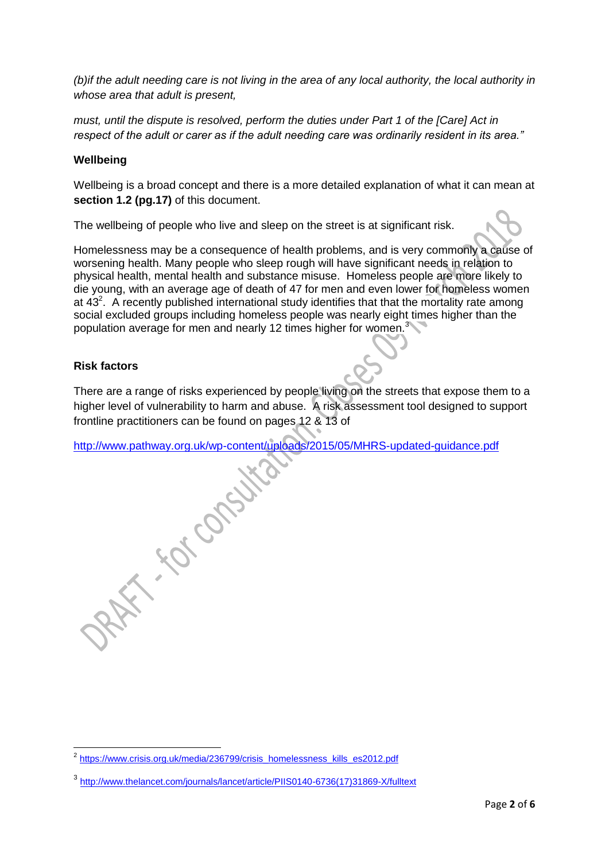*(b)if the adult needing care is not living in the area of any local authority, the local authority in whose area that adult is present,*

*must, until the dispute is resolved, perform the duties under Part 1 of the [Care] Act in respect of the adult or carer as if the adult needing care was ordinarily resident in its area."*

#### **Wellbeing**

Wellbeing is a broad concept and there is a more detailed explanation of what it can mean at **section 1.2 (pg.17)** of this document.

The wellbeing of people who live and sleep on the street is at significant risk.

Homelessness may be a consequence of health problems, and is very commonly a cause of worsening health. Many people who sleep rough will have significant needs in relation to physical health, mental health and substance misuse. Homeless people are more likely to die young, with an average age of death of 47 for men and even lower for homeless women at  $43<sup>2</sup>$ . A recently published international study identifies that that the mortality rate among social excluded groups including homeless people was nearly eight times higher than the population average for men and nearly 12 times higher for women.<sup>3</sup>

#### **Risk factors**

There are a range of risks experienced by people living on the streets that expose them to a higher level of vulnerability to harm and abuse. A risk assessment tool designed to support frontline practitioners can be found on pages 12 & 13 of

<http://www.pathway.org.uk/wp-content/uploads/2015/05/MHRS-updated-guidance.pdf><br>Album Content<br>Content<br>Content

 2 [https://www.crisis.org.uk/media/236799/crisis\\_homelessness\\_kills\\_es2012.pdf](https://www.crisis.org.uk/media/236799/crisis_homelessness_kills_es2012.pdf)

<sup>3</sup> [http://www.thelancet.com/journals/lancet/article/PIIS0140-6736\(17\)31869-X/fulltext](http://www.thelancet.com/journals/lancet/article/PIIS0140-6736(17)31869-X/fulltext)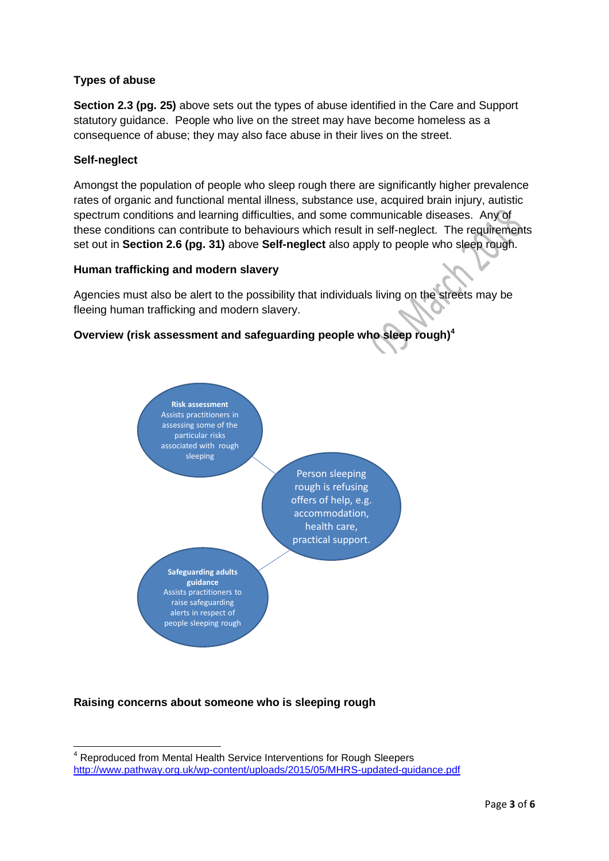# **Types of abuse**

**Section 2.3 (pg. 25)** above sets out the types of abuse identified in the Care and Support statutory guidance. People who live on the street may have become homeless as a consequence of abuse; they may also face abuse in their lives on the street.

## **Self-neglect**

 $\overline{a}$ 

Amongst the population of people who sleep rough there are significantly higher prevalence rates of organic and functional mental illness, substance use, acquired brain injury, autistic spectrum conditions and learning difficulties, and some communicable diseases. Any of these conditions can contribute to behaviours which result in self-neglect. The requirements set out in **Section 2.6 (pg. 31)** above **Self-neglect** also apply to people who sleep rough.

#### **Human trafficking and modern slavery**

Agencies must also be alert to the possibility that individuals living on the streets may be fleeing human trafficking and modern slavery.

# **Overview (risk assessment and safeguarding people who sleep rough)<sup>4</sup>**



# **Raising concerns about someone who is sleeping rough**

<sup>&</sup>lt;sup>4</sup> Reproduced from Mental Health Service Interventions for Rough Sleepers <http://www.pathway.org.uk/wp-content/uploads/2015/05/MHRS-updated-guidance.pdf>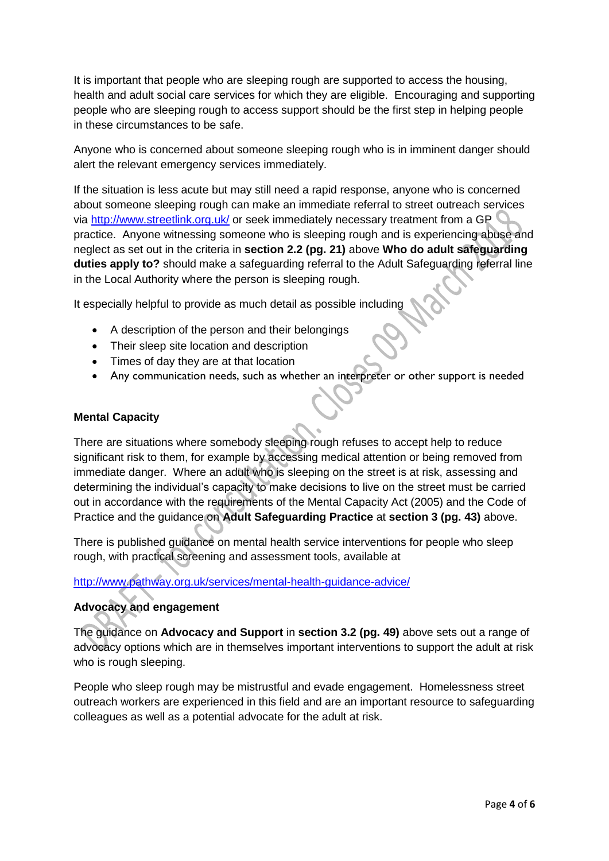It is important that people who are sleeping rough are supported to access the housing, health and adult social care services for which they are eligible. Encouraging and supporting people who are sleeping rough to access support should be the first step in helping people in these circumstances to be safe.

Anyone who is concerned about someone sleeping rough who is in imminent danger should alert the relevant emergency services immediately.

If the situation is less acute but may still need a rapid response, anyone who is concerned about someone sleeping rough can make an immediate referral to street outreach services via<http://www.streetlink.org.uk/> or seek immediately necessary treatment from a GP practice. Anyone witnessing someone who is sleeping rough and is experiencing abuse and neglect as set out in the criteria in **section 2.2 (pg. 21)** above **Who do adult safeguarding duties apply to?** should make a safeguarding referral to the Adult Safeguarding referral line in the Local Authority where the person is sleeping rough.

It especially helpful to provide as much detail as possible including

- A description of the person and their belongings
- Their sleep site location and description
- Times of day they are at that location
- Any communication needs, such as whether an interpreter or other support is needed

#### **Mental Capacity**

There are situations where somebody sleeping rough refuses to accept help to reduce significant risk to them, for example by accessing medical attention or being removed from immediate danger. Where an adult who is sleeping on the street is at risk, assessing and determining the individual's capacity to make decisions to live on the street must be carried out in accordance with the requirements of the Mental Capacity Act (2005) and the Code of Practice and the guidance on **Adult Safeguarding Practice** at **section 3 (pg. 43)** above.

There is published guidance on mental health service interventions for people who sleep rough, with practical screening and assessment tools, available at

#### <http://www.pathway.org.uk/services/mental-health-guidance-advice/>

# **Advocacy and engagement**

The guidance on **Advocacy and Support** in **section 3.2 (pg. 49)** above sets out a range of advocacy options which are in themselves important interventions to support the adult at risk who is rough sleeping.

People who sleep rough may be mistrustful and evade engagement. Homelessness street outreach workers are experienced in this field and are an important resource to safeguarding colleagues as well as a potential advocate for the adult at risk.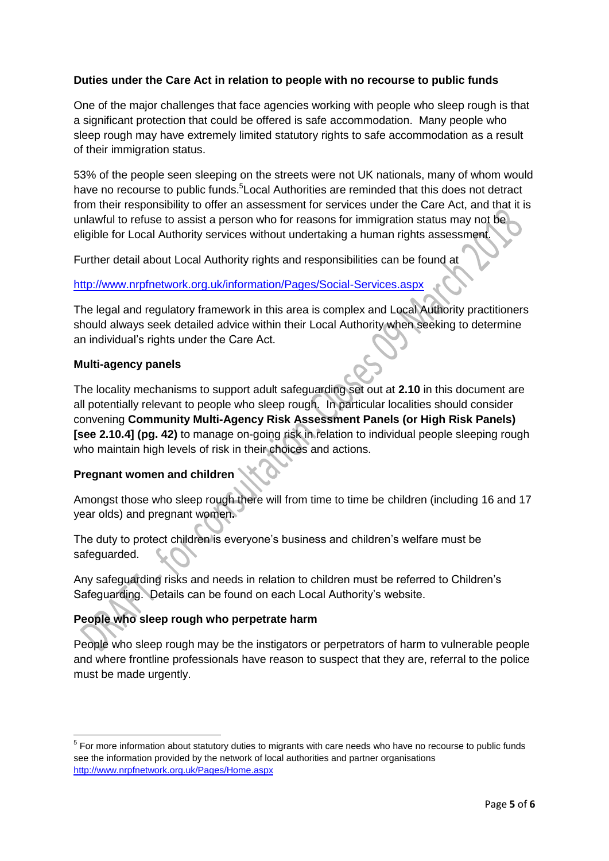# **Duties under the Care Act in relation to people with no recourse to public funds**

One of the major challenges that face agencies working with people who sleep rough is that a significant protection that could be offered is safe accommodation. Many people who sleep rough may have extremely limited statutory rights to safe accommodation as a result of their immigration status.

53% of the people seen sleeping on the streets were not UK nationals, many of whom would have no recourse to public funds.<sup>5</sup> Local Authorities are reminded that this does not detract from their responsibility to offer an assessment for services under the Care Act, and that it is unlawful to refuse to assist a person who for reasons for immigration status may not be eligible for Local Authority services without undertaking a human rights assessment.

Further detail about Local Authority rights and responsibilities can be found at

#### <http://www.nrpfnetwork.org.uk/information/Pages/Social-Services.aspx>

The legal and regulatory framework in this area is complex and Local Authority practitioners should always seek detailed advice within their Local Authority when seeking to determine an individual's rights under the Care Act.

#### **Multi-agency panels**

The locality mechanisms to support adult safeguarding set out at **2.10** in this document are all potentially relevant to people who sleep rough. In particular localities should consider convening **Community Multi-Agency Risk Assessment Panels (or High Risk Panels) [see 2.10.4] (pg. 42)** to manage on-going risk in relation to individual people sleeping rough who maintain high levels of risk in their choices and actions.

# **Pregnant women and children**

Amongst those who sleep rough there will from time to time be children (including 16 and 17 year olds) and pregnant women**.** 

The duty to protect children is everyone's business and children's welfare must be safeguarded.

Any safeguarding risks and needs in relation to children must be referred to Children's Safeguarding. Details can be found on each Local Authority's website.

#### **People who sleep rough who perpetrate harm**

People who sleep rough may be the instigators or perpetrators of harm to vulnerable people and where frontline professionals have reason to suspect that they are, referral to the police must be made urgently.

 5 For more information about statutory duties to migrants with care needs who have no recourse to public funds see the information provided by the network of local authorities and partner organisations <http://www.nrpfnetwork.org.uk/Pages/Home.aspx>